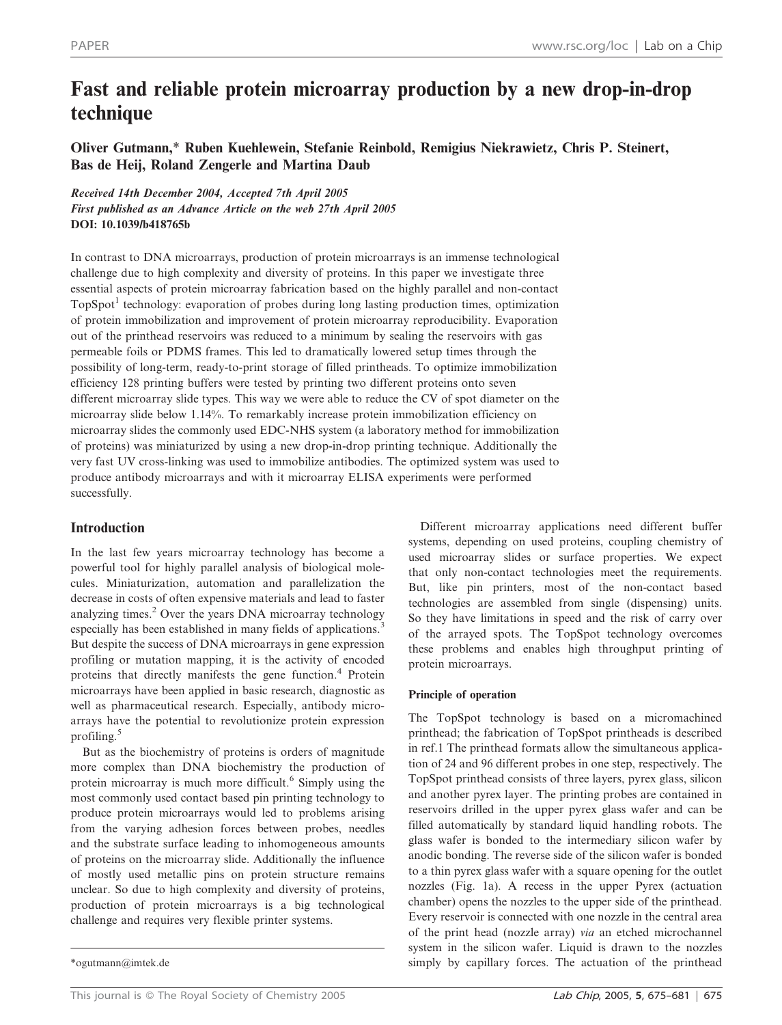# Fast and reliable protein microarray production by a new drop-in-drop technique

Oliver Gutmann,\* Ruben Kuehlewein, Stefanie Reinbold, Remigius Niekrawietz, Chris P. Steinert, Bas de Heij, Roland Zengerle and Martina Daub

Received 14th December 2004, Accepted 7th April 2005 First published as an Advance Article on the web 27th April 2005 DOI: 10.1039/b418765b

In contrast to DNA microarrays, production of protein microarrays is an immense technological challenge due to high complexity and diversity of proteins. In this paper we investigate three essential aspects of protein microarray fabrication based on the highly parallel and non-contact TopSpot<sup>1</sup> technology: evaporation of probes during long lasting production times, optimization of protein immobilization and improvement of protein microarray reproducibility. Evaporation out of the printhead reservoirs was reduced to a minimum by sealing the reservoirs with gas permeable foils or PDMS frames. This led to dramatically lowered setup times through the possibility of long-term, ready-to-print storage of filled printheads. To optimize immobilization efficiency 128 printing buffers were tested by printing two different proteins onto seven different microarray slide types. This way we were able to reduce the CV of spot diameter on the microarray slide below 1.14%. To remarkably increase protein immobilization efficiency on microarray slides the commonly used EDC-NHS system (a laboratory method for immobilization of proteins) was miniaturized by using a new drop-in-drop printing technique. Additionally the very fast UV cross-linking was used to immobilize antibodies. The optimized system was used to produce antibody microarrays and with it microarray ELISA experiments were performed successfully.

# Introduction

In the last few years microarray technology has become a powerful tool for highly parallel analysis of biological molecules. Miniaturization, automation and parallelization the decrease in costs of often expensive materials and lead to faster analyzing times.<sup>2</sup> Over the years DNA microarray technology especially has been established in many fields of applications.<sup>3</sup> But despite the success of DNA microarrays in gene expression profiling or mutation mapping, it is the activity of encoded proteins that directly manifests the gene function.<sup>4</sup> Protein microarrays have been applied in basic research, diagnostic as well as pharmaceutical research. Especially, antibody microarrays have the potential to revolutionize protein expression profiling.<sup>5</sup>

But as the biochemistry of proteins is orders of magnitude more complex than DNA biochemistry the production of protein microarray is much more difficult.<sup>6</sup> Simply using the most commonly used contact based pin printing technology to produce protein microarrays would led to problems arising from the varying adhesion forces between probes, needles and the substrate surface leading to inhomogeneous amounts of proteins on the microarray slide. Additionally the influence of mostly used metallic pins on protein structure remains unclear. So due to high complexity and diversity of proteins, production of protein microarrays is a big technological challenge and requires very flexible printer systems.

Different microarray applications need different buffer systems, depending on used proteins, coupling chemistry of used microarray slides or surface properties. We expect that only non-contact technologies meet the requirements. But, like pin printers, most of the non-contact based technologies are assembled from single (dispensing) units. So they have limitations in speed and the risk of carry over of the arrayed spots. The TopSpot technology overcomes these problems and enables high throughput printing of protein microarrays.

# Principle of operation

The TopSpot technology is based on a micromachined printhead; the fabrication of TopSpot printheads is described in ref.1 The printhead formats allow the simultaneous application of 24 and 96 different probes in one step, respectively. The TopSpot printhead consists of three layers, pyrex glass, silicon and another pyrex layer. The printing probes are contained in reservoirs drilled in the upper pyrex glass wafer and can be filled automatically by standard liquid handling robots. The glass wafer is bonded to the intermediary silicon wafer by anodic bonding. The reverse side of the silicon wafer is bonded to a thin pyrex glass wafer with a square opening for the outlet nozzles (Fig. 1a). A recess in the upper Pyrex (actuation chamber) opens the nozzles to the upper side of the printhead. Every reservoir is connected with one nozzle in the central area of the print head (nozzle array) via an etched microchannel system in the silicon wafer. Liquid is drawn to the nozzles \*ogutmann@imtek.de simply by capillary forces. The actuation of the printhead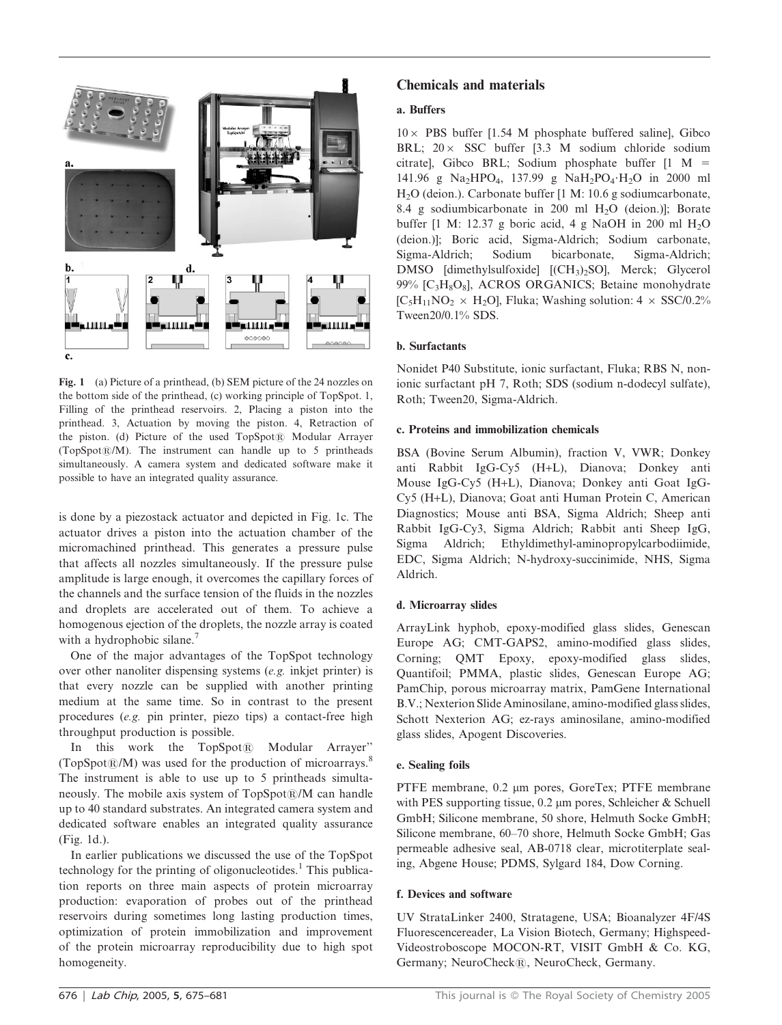

Fig. 1 (a) Picture of a printhead, (b) SEM picture of the 24 nozzles on the bottom side of the printhead, (c) working principle of TopSpot. 1, Filling of the printhead reservoirs. 2, Placing a piston into the printhead. 3, Actuation by moving the piston. 4, Retraction of the piston. (d) Picture of the used  $TopSpot@$  Modular Arrayer (TopSpot $(\widehat{R}/M)$ ). The instrument can handle up to 5 printheads simultaneously. A camera system and dedicated software make it possible to have an integrated quality assurance.

is done by a piezostack actuator and depicted in Fig. 1c. The actuator drives a piston into the actuation chamber of the micromachined printhead. This generates a pressure pulse that affects all nozzles simultaneously. If the pressure pulse amplitude is large enough, it overcomes the capillary forces of the channels and the surface tension of the fluids in the nozzles and droplets are accelerated out of them. To achieve a homogenous ejection of the droplets, the nozzle array is coated with a hydrophobic silane.<sup>7</sup>

One of the major advantages of the TopSpot technology over other nanoliter dispensing systems (e.g. inkjet printer) is that every nozzle can be supplied with another printing medium at the same time. So in contrast to the present procedures (e.g. pin printer, piezo tips) a contact-free high throughput production is possible.

In this work the TopSpot® Modular Arrayer" (TopSpot $\mathbb{R}/M$ ) was used for the production of microarrays.<sup>8</sup> The instrument is able to use up to 5 printheads simultaneously. The mobile axis system of TopSpot®/M can handle up to 40 standard substrates. An integrated camera system and dedicated software enables an integrated quality assurance (Fig. 1d.).

In earlier publications we discussed the use of the TopSpot technology for the printing of oligonucleotides.<sup>1</sup> This publication reports on three main aspects of protein microarray production: evaporation of probes out of the printhead reservoirs during sometimes long lasting production times, optimization of protein immobilization and improvement of the protein microarray reproducibility due to high spot homogeneity.

# Chemicals and materials

## a. Buffers

 $10\times$  PBS buffer [1.54 M phosphate buffered saline], Gibco BRL;  $20 \times$  SSC buffer [3.3 M sodium chloride sodium citrate], Gibco BRL; Sodium phosphate buffer  $[1 \ M =$ 141.96 g Na2HPO4, 137.99 g NaH2PO4?H2O in 2000 ml H2O (deion.). Carbonate buffer [1 M: 10.6 g sodiumcarbonate, 8.4 g sodiumbicarbonate in 200 ml H2O (deion.)]; Borate buffer  $[1 \text{ M}$ : 12.37 g boric acid, 4 g NaOH in 200 ml H<sub>2</sub>O (deion.)]; Boric acid, Sigma-Aldrich; Sodium carbonate, Sigma-Aldrich; Sodium bicarbonate, Sigma-Aldrich; DMSO [dimethylsulfoxide] [(CH<sub>3</sub>)<sub>2</sub>SO], Merck; Glycerol 99%  $[C_3H_8O_8]$ , ACROS ORGANICS; Betaine monohydrate  $[C_5H_{11}NO_2 \times H_2O]$ , Fluka; Washing solution:  $4 \times SSC/0.2\%$ Tween20/0.1% SDS.

#### b. Surfactants

Nonidet P40 Substitute, ionic surfactant, Fluka; RBS N, nonionic surfactant pH 7, Roth; SDS (sodium n-dodecyl sulfate), Roth; Tween20, Sigma-Aldrich.

#### c. Proteins and immobilization chemicals

BSA (Bovine Serum Albumin), fraction V, VWR; Donkey anti Rabbit IgG-Cy5 (H+L), Dianova; Donkey anti Mouse IgG-Cy5 (H+L), Dianova; Donkey anti Goat IgG-Cy5 (H+L), Dianova; Goat anti Human Protein C, American Diagnostics; Mouse anti BSA, Sigma Aldrich; Sheep anti Rabbit IgG-Cy3, Sigma Aldrich; Rabbit anti Sheep IgG, Sigma Aldrich; Ethyldimethyl-aminopropylcarbodiimide, EDC, Sigma Aldrich; N-hydroxy-succinimide, NHS, Sigma Aldrich.

## d. Microarray slides

ArrayLink hyphob, epoxy-modified glass slides, Genescan Europe AG; CMT-GAPS2, amino-modified glass slides, Corning; QMT Epoxy, epoxy-modified glass slides, Quantifoil; PMMA, plastic slides, Genescan Europe AG; PamChip, porous microarray matrix, PamGene International B.V.; Nexterion Slide Aminosilane, amino-modified glass slides, Schott Nexterion AG; ez-rays aminosilane, amino-modified glass slides, Apogent Discoveries.

#### e. Sealing foils

PTFE membrane, 0.2 µm pores, GoreTex; PTFE membrane with PES supporting tissue,  $0.2 \mu m$  pores, Schleicher & Schuell GmbH; Silicone membrane, 50 shore, Helmuth Socke GmbH; Silicone membrane, 60–70 shore, Helmuth Socke GmbH; Gas permeable adhesive seal, AB-0718 clear, microtiterplate sealing, Abgene House; PDMS, Sylgard 184, Dow Corning.

#### f. Devices and software

UV StrataLinker 2400, Stratagene, USA; Bioanalyzer 4F/4S Fluorescencereader, La Vision Biotech, Germany; Highspeed-Videostroboscope MOCON-RT, VISIT GmbH & Co. KG, Germany; NeuroCheck®, NeuroCheck, Germany.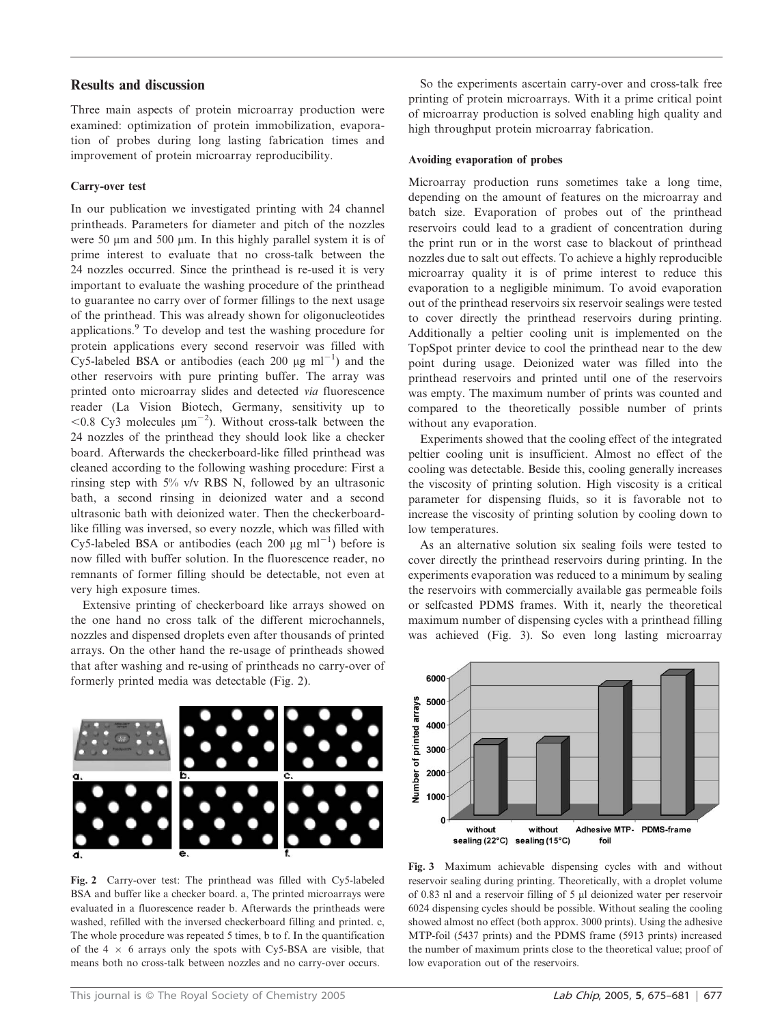## Results and discussion

Three main aspects of protein microarray production were examined: optimization of protein immobilization, evaporation of probes during long lasting fabrication times and improvement of protein microarray reproducibility.

## Carry-over test

In our publication we investigated printing with 24 channel printheads. Parameters for diameter and pitch of the nozzles were 50  $\mu$ m and 500  $\mu$ m. In this highly parallel system it is of prime interest to evaluate that no cross-talk between the 24 nozzles occurred. Since the printhead is re-used it is very important to evaluate the washing procedure of the printhead to guarantee no carry over of former fillings to the next usage of the printhead. This was already shown for oligonucleotides applications.<sup>9</sup> To develop and test the washing procedure for protein applications every second reservoir was filled with Cy5-labeled BSA or antibodies (each 200  $\mu$ g ml<sup>-1</sup>) and the other reservoirs with pure printing buffer. The array was printed onto microarray slides and detected via fluorescence reader (La Vision Biotech, Germany, sensitivity up to  $<$ 0.8 Cy3 molecules  $\mu$ m<sup>-2</sup>). Without cross-talk between the 24 nozzles of the printhead they should look like a checker board. Afterwards the checkerboard-like filled printhead was cleaned according to the following washing procedure: First a rinsing step with 5% v/v RBS N, followed by an ultrasonic bath, a second rinsing in deionized water and a second ultrasonic bath with deionized water. Then the checkerboardlike filling was inversed, so every nozzle, which was filled with Cy5-labeled BSA or antibodies (each 200  $\mu$ g ml<sup>-1</sup>) before is now filled with buffer solution. In the fluorescence reader, no remnants of former filling should be detectable, not even at very high exposure times.

Extensive printing of checkerboard like arrays showed on the one hand no cross talk of the different microchannels, nozzles and dispensed droplets even after thousands of printed arrays. On the other hand the re-usage of printheads showed that after washing and re-using of printheads no carry-over of formerly printed media was detectable (Fig. 2).



Fig. 2 Carry-over test: The printhead was filled with Cy5-labeled BSA and buffer like a checker board. a, The printed microarrays were evaluated in a fluorescence reader b. Afterwards the printheads were washed, refilled with the inversed checkerboard filling and printed. c, The whole procedure was repeated 5 times, b to f. In the quantification of the  $4 \times 6$  arrays only the spots with Cy5-BSA are visible, that means both no cross-talk between nozzles and no carry-over occurs.

So the experiments ascertain carry-over and cross-talk free printing of protein microarrays. With it a prime critical point of microarray production is solved enabling high quality and high throughput protein microarray fabrication.

## Avoiding evaporation of probes

Microarray production runs sometimes take a long time, depending on the amount of features on the microarray and batch size. Evaporation of probes out of the printhead reservoirs could lead to a gradient of concentration during the print run or in the worst case to blackout of printhead nozzles due to salt out effects. To achieve a highly reproducible microarray quality it is of prime interest to reduce this evaporation to a negligible minimum. To avoid evaporation out of the printhead reservoirs six reservoir sealings were tested to cover directly the printhead reservoirs during printing. Additionally a peltier cooling unit is implemented on the TopSpot printer device to cool the printhead near to the dew point during usage. Deionized water was filled into the printhead reservoirs and printed until one of the reservoirs was empty. The maximum number of prints was counted and compared to the theoretically possible number of prints without any evaporation.

Experiments showed that the cooling effect of the integrated peltier cooling unit is insufficient. Almost no effect of the cooling was detectable. Beside this, cooling generally increases the viscosity of printing solution. High viscosity is a critical parameter for dispensing fluids, so it is favorable not to increase the viscosity of printing solution by cooling down to low temperatures.

As an alternative solution six sealing foils were tested to cover directly the printhead reservoirs during printing. In the experiments evaporation was reduced to a minimum by sealing the reservoirs with commercially available gas permeable foils or selfcasted PDMS frames. With it, nearly the theoretical maximum number of dispensing cycles with a printhead filling was achieved (Fig. 3). So even long lasting microarray



Fig. 3 Maximum achievable dispensing cycles with and without reservoir sealing during printing. Theoretically, with a droplet volume of 0.83 nl and a reservoir filling of 5 µl deionized water per reservoir 6024 dispensing cycles should be possible. Without sealing the cooling showed almost no effect (both approx. 3000 prints). Using the adhesive MTP-foil (5437 prints) and the PDMS frame (5913 prints) increased the number of maximum prints close to the theoretical value; proof of low evaporation out of the reservoirs.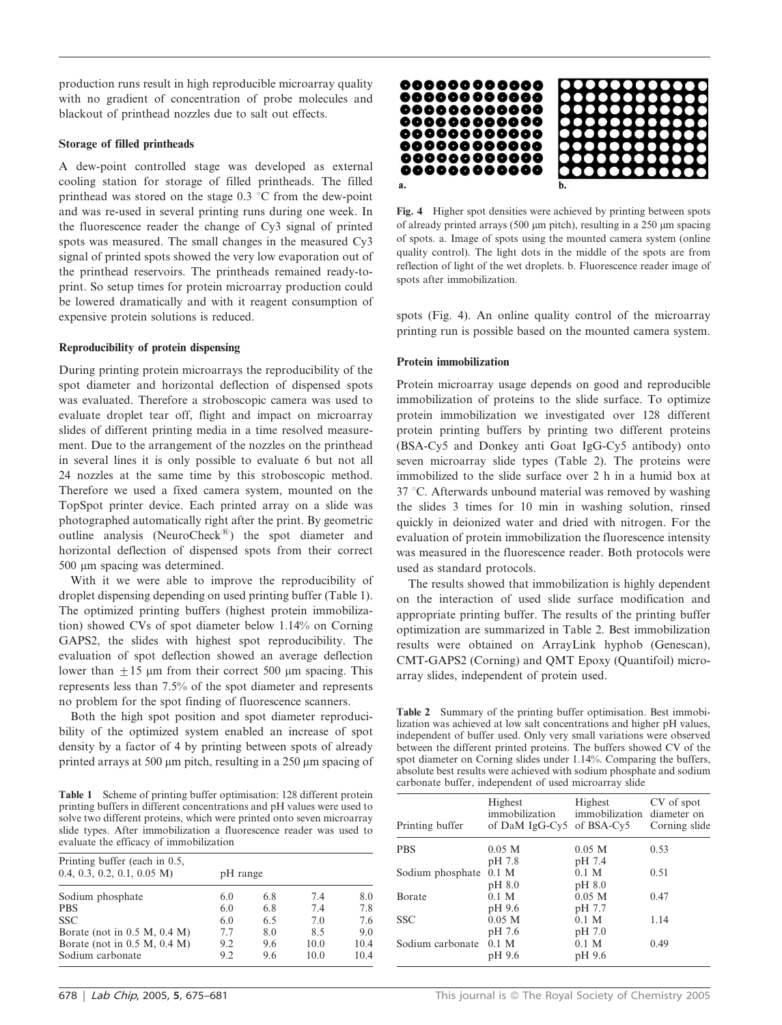production runs result in high reproducible microarray quality with no gradient of concentration of probe molecules and blackout of printhead nozzles due to salt out effects.

#### Storage of filled printheads

A dew-point controlled stage was developed as external cooling station for storage of filled printheads. The filled printhead was stored on the stage  $0.3 \degree C$  from the dew-point and was re-used in several printing runs during one week. In the fluorescence reader the change of Cy3 signal of printed spots was measured. The small changes in the measured Cy3 signal of printed spots showed the very low evaporation out of the printhead reservoirs. The printheads remained ready-toprint. So setup times for protein microarray production could be lowered dramatically and with it reagent consumption of expensive protein solutions is reduced.

#### Reproducibility of protein dispensing

During printing protein microarrays the reproducibility of the spot diameter and horizontal deflection of dispensed spots was evaluated. Therefore a stroboscopic camera was used to evaluate droplet tear off, flight and impact on microarray slides of different printing media in a time resolved measurement. Due to the arrangement of the nozzles on the printhead in several lines it is only possible to evaluate 6 but not all 24 nozzles at the same time by this stroboscopic method. Therefore we used a fixed camera system, mounted on the TopSpot printer device. Each printed array on a slide was photographed automatically right after the print. By geometric outline analysis (NeuroCheck $^{(8)}$ ) the spot diameter and horizontal deflection of dispensed spots from their correct 500 µm spacing was determined.

With it we were able to improve the reproducibility of droplet dispensing depending on used printing buffer (Table 1). The optimized printing buffers (highest protein immobilization) showed CVs of spot diameter below 1.14% on Corning GAPS2, the slides with highest spot reproducibility. The evaluation of spot deflection showed an average deflection lower than  $\pm 15$  µm from their correct 500 µm spacing. This represents less than 7.5% of the spot diameter and represents no problem for the spot finding of fluorescence scanners.

Both the high spot position and spot diameter reproducibility of the optimized system enabled an increase of spot density by a factor of 4 by printing between spots of already printed arrays at 500 µm pitch, resulting in a 250 µm spacing of

Table 1 Scheme of printing buffer optimisation: 128 different protein printing buffers in different concentrations and pH values were used to solve two different proteins, which were printed onto seven microarray slide types. After immobilization a fluorescence reader was used to evaluate the efficacy of immobilization

| Printing buffer (each in 0.5,<br>$0.4, 0.3, 0.2, 0.1, 0.05$ M) |     | pH range |      |      |
|----------------------------------------------------------------|-----|----------|------|------|
| Sodium phosphate                                               | 6.0 | 6.8      | 74   | 8.0  |
| <b>PBS</b>                                                     | 6.0 | 6.8      | 74   | 7.8  |
| <b>SSC</b>                                                     | 6.0 | 6.5      | 70   | 7.6  |
| Borate (not in $0.5$ M, $0.4$ M)                               | 7.7 | 8.0      | 8.5  | 9.0  |
| Borate (not in $0.5$ M, $0.4$ M)                               | 9.2 | 9.6      | 10.0 | 10.4 |
| Sodium carbonate                                               | 9.2 | 9.6      | 10.0 | 10.4 |



Fig. 4 Higher spot densities were achieved by printing between spots of already printed arrays (500  $\mu$ m pitch), resulting in a 250  $\mu$ m spacing of spots. a. Image of spots using the mounted camera system (online quality control). The light dots in the middle of the spots are from reflection of light of the wet droplets. b. Fluorescence reader image of spots after immobilization.

spots (Fig. 4). An online quality control of the microarray printing run is possible based on the mounted camera system.

#### Protein immobilization

Protein microarray usage depends on good and reproducible immobilization of proteins to the slide surface. To optimize protein immobilization we investigated over 128 different protein printing buffers by printing two different proteins (BSA-Cy5 and Donkey anti Goat IgG-Cy5 antibody) onto seven microarray slide types (Table 2). The proteins were immobilized to the slide surface over 2 h in a humid box at  $37$  °C. Afterwards unbound material was removed by washing the slides 3 times for 10 min in washing solution, rinsed quickly in deionized water and dried with nitrogen. For the evaluation of protein immobilization the fluorescence intensity was measured in the fluorescence reader. Both protocols were used as standard protocols.

The results showed that immobilization is highly dependent on the interaction of used slide surface modification and appropriate printing buffer. The results of the printing buffer optimization are summarized in Table 2. Best immobilization results were obtained on ArrayLink hyphob (Genescan), CMT-GAPS2 (Corning) and QMT Epoxy (Quantifoil) microarray slides, independent of protein used.

Table 2 Summary of the printing buffer optimisation. Best immobilization was achieved at low salt concentrations and higher pH values, independent of buffer used. Only very small variations were observed between the different printed proteins. The buffers showed CV of the spot diameter on Corning slides under 1.14%. Comparing the buffers, absolute best results were achieved with sodium phosphate and sodium carbonate buffer, independent of used microarray slide

| Printing buffer  | Highest<br>immobilization<br>of DaM IgG-Cy5 of BSA-Cy5 | Highest<br>immobilization | CV of spot<br>diameter on<br>Corning slide |
|------------------|--------------------------------------------------------|---------------------------|--------------------------------------------|
| <b>PBS</b>       | $0.05$ M<br>pH 7.8                                     | $0.05$ M<br>pH 7.4        | 0.53                                       |
| Sodium phosphate | $0.1$ M<br>pH 8.0                                      | $0.1$ M<br>pH 8.0         | 0.51                                       |
| <b>Borate</b>    | $0.1\ M$<br>pH 9.6                                     | $0.05$ M<br>pH 7.7        | 0.47                                       |
| SSC              | $0.05$ M<br>pH 7.6                                     | $0.1$ M<br>pH 7.0         | 1.14                                       |
| Sodium carbonate | $0.1\ M$<br>pH 9.6                                     | $0.1\ M$<br>pH 9.6        | 0.49                                       |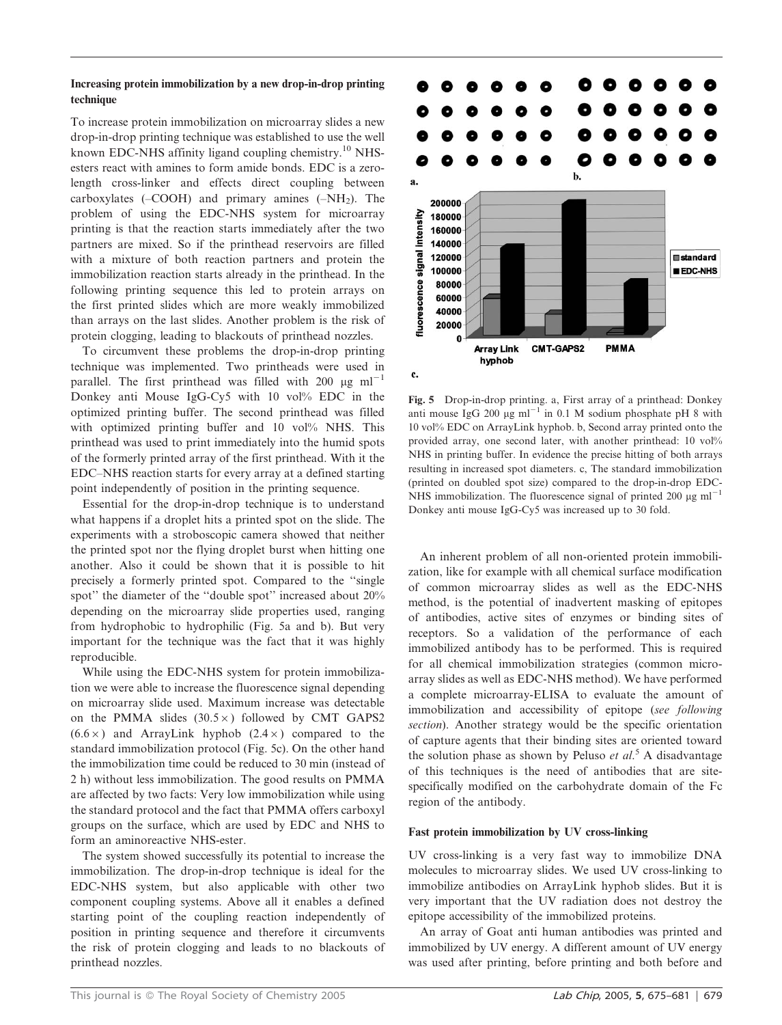## Increasing protein immobilization by a new drop-in-drop printing technique

To increase protein immobilization on microarray slides a new drop-in-drop printing technique was established to use the well known EDC-NHS affinity ligand coupling chemistry.<sup>10</sup> NHSesters react with amines to form amide bonds. EDC is a zerolength cross-linker and effects direct coupling between carboxylates  $(-COOH)$  and primary amines  $(-NH<sub>2</sub>)$ . The problem of using the EDC-NHS system for microarray printing is that the reaction starts immediately after the two partners are mixed. So if the printhead reservoirs are filled with a mixture of both reaction partners and protein the immobilization reaction starts already in the printhead. In the following printing sequence this led to protein arrays on the first printed slides which are more weakly immobilized than arrays on the last slides. Another problem is the risk of protein clogging, leading to blackouts of printhead nozzles.

To circumvent these problems the drop-in-drop printing technique was implemented. Two printheads were used in parallel. The first printhead was filled with 200  $\mu$ g ml<sup>-1</sup> Donkey anti Mouse IgG-Cy5 with 10 vol% EDC in the optimized printing buffer. The second printhead was filled with optimized printing buffer and 10 vol<sup>%</sup> NHS. This printhead was used to print immediately into the humid spots of the formerly printed array of the first printhead. With it the EDC–NHS reaction starts for every array at a defined starting point independently of position in the printing sequence.

Essential for the drop-in-drop technique is to understand what happens if a droplet hits a printed spot on the slide. The experiments with a stroboscopic camera showed that neither the printed spot nor the flying droplet burst when hitting one another. Also it could be shown that it is possible to hit precisely a formerly printed spot. Compared to the ''single spot'' the diameter of the ''double spot'' increased about 20% depending on the microarray slide properties used, ranging from hydrophobic to hydrophilic (Fig. 5a and b). But very important for the technique was the fact that it was highly reproducible.

While using the EDC-NHS system for protein immobilization we were able to increase the fluorescence signal depending on microarray slide used. Maximum increase was detectable on the PMMA slides  $(30.5 \times)$  followed by CMT GAPS2  $(6.6 \times)$  and ArrayLink hyphob  $(2.4 \times)$  compared to the standard immobilization protocol (Fig. 5c). On the other hand the immobilization time could be reduced to 30 min (instead of 2 h) without less immobilization. The good results on PMMA are affected by two facts: Very low immobilization while using the standard protocol and the fact that PMMA offers carboxyl groups on the surface, which are used by EDC and NHS to form an aminoreactive NHS-ester.

The system showed successfully its potential to increase the immobilization. The drop-in-drop technique is ideal for the EDC-NHS system, but also applicable with other two component coupling systems. Above all it enables a defined starting point of the coupling reaction independently of position in printing sequence and therefore it circumvents the risk of protein clogging and leads to no blackouts of printhead nozzles.



Fig. 5 Drop-in-drop printing. a, First array of a printhead: Donkey anti mouse IgG 200  $\mu$ g ml<sup>-1</sup> in 0.1 M sodium phosphate pH 8 with 10 vol% EDC on ArrayLink hyphob. b, Second array printed onto the provided array, one second later, with another printhead: 10 vol<sup>%</sup> NHS in printing buffer. In evidence the precise hitting of both arrays resulting in increased spot diameters. c, The standard immobilization (printed on doubled spot size) compared to the drop-in-drop EDC-NHS immobilization. The fluorescence signal of printed 200  $\mu$ g ml<sup>-1</sup> Donkey anti mouse IgG-Cy5 was increased up to 30 fold.

An inherent problem of all non-oriented protein immobilization, like for example with all chemical surface modification of common microarray slides as well as the EDC-NHS method, is the potential of inadvertent masking of epitopes of antibodies, active sites of enzymes or binding sites of receptors. So a validation of the performance of each immobilized antibody has to be performed. This is required for all chemical immobilization strategies (common microarray slides as well as EDC-NHS method). We have performed a complete microarray-ELISA to evaluate the amount of immobilization and accessibility of epitope (see following section). Another strategy would be the specific orientation of capture agents that their binding sites are oriented toward the solution phase as shown by Peluso et  $al$ <sup>5</sup> A disadvantage of this techniques is the need of antibodies that are sitespecifically modified on the carbohydrate domain of the Fc region of the antibody.

## Fast protein immobilization by UV cross-linking

UV cross-linking is a very fast way to immobilize DNA molecules to microarray slides. We used UV cross-linking to immobilize antibodies on ArrayLink hyphob slides. But it is very important that the UV radiation does not destroy the epitope accessibility of the immobilized proteins.

An array of Goat anti human antibodies was printed and immobilized by UV energy. A different amount of UV energy was used after printing, before printing and both before and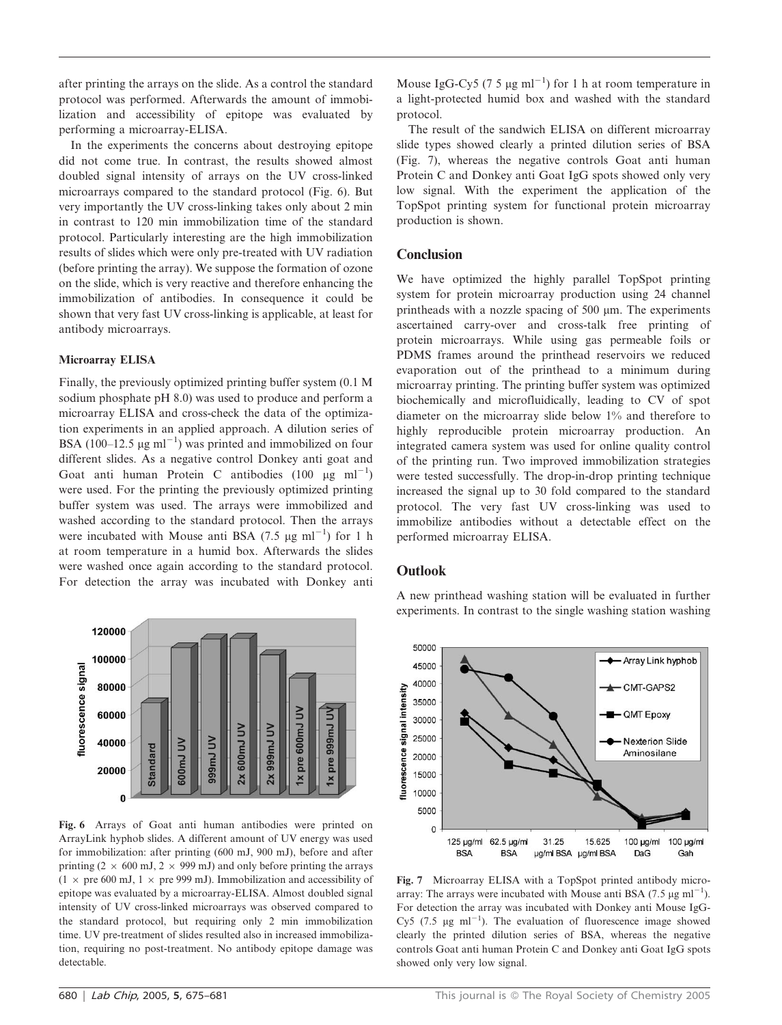after printing the arrays on the slide. As a control the standard protocol was performed. Afterwards the amount of immobilization and accessibility of epitope was evaluated by performing a microarray-ELISA.

In the experiments the concerns about destroying epitope did not come true. In contrast, the results showed almost doubled signal intensity of arrays on the UV cross-linked microarrays compared to the standard protocol (Fig. 6). But very importantly the UV cross-linking takes only about 2 min in contrast to 120 min immobilization time of the standard protocol. Particularly interesting are the high immobilization results of slides which were only pre-treated with UV radiation (before printing the array). We suppose the formation of ozone on the slide, which is very reactive and therefore enhancing the immobilization of antibodies. In consequence it could be shown that very fast UV cross-linking is applicable, at least for antibody microarrays.

## Microarray ELISA

Finally, the previously optimized printing buffer system (0.1 M sodium phosphate pH 8.0) was used to produce and perform a microarray ELISA and cross-check the data of the optimization experiments in an applied approach. A dilution series of BSA (100–12.5  $\mu$ g ml<sup>-1</sup>) was printed and immobilized on four different slides. As a negative control Donkey anti goat and Goat anti human Protein C antibodies  $(100 \text{ µg ml}^{-1})$ were used. For the printing the previously optimized printing buffer system was used. The arrays were immobilized and washed according to the standard protocol. Then the arrays were incubated with Mouse anti BSA (7.5  $\mu$ g ml<sup>-1</sup>) for 1 h at room temperature in a humid box. Afterwards the slides were washed once again according to the standard protocol. For detection the array was incubated with Donkey anti



Fig. 6 Arrays of Goat anti human antibodies were printed on ArrayLink hyphob slides. A different amount of UV energy was used for immobilization: after printing (600 mJ, 900 mJ), before and after printing (2  $\times$  600 mJ, 2  $\times$  999 mJ) and only before printing the arrays  $(1 \times pre 600 \text{ mJ}, 1 \times pre 999 \text{ mJ})$ . Immobilization and accessibility of epitope was evaluated by a microarray-ELISA. Almost doubled signal intensity of UV cross-linked microarrays was observed compared to the standard protocol, but requiring only 2 min immobilization time. UV pre-treatment of slides resulted also in increased immobilization, requiring no post-treatment. No antibody epitope damage was detectable.

Mouse IgG-Cy5 (7 5  $\mu$ g ml<sup>-1</sup>) for 1 h at room temperature in a light-protected humid box and washed with the standard protocol.

The result of the sandwich ELISA on different microarray slide types showed clearly a printed dilution series of BSA (Fig. 7), whereas the negative controls Goat anti human Protein C and Donkey anti Goat IgG spots showed only very low signal. With the experiment the application of the TopSpot printing system for functional protein microarray production is shown.

## **Conclusion**

We have optimized the highly parallel TopSpot printing system for protein microarray production using 24 channel printheads with a nozzle spacing of  $500 \mu m$ . The experiments ascertained carry-over and cross-talk free printing of protein microarrays. While using gas permeable foils or PDMS frames around the printhead reservoirs we reduced evaporation out of the printhead to a minimum during microarray printing. The printing buffer system was optimized biochemically and microfluidically, leading to CV of spot diameter on the microarray slide below 1% and therefore to highly reproducible protein microarray production. An integrated camera system was used for online quality control of the printing run. Two improved immobilization strategies were tested successfully. The drop-in-drop printing technique increased the signal up to 30 fold compared to the standard protocol. The very fast UV cross-linking was used to immobilize antibodies without a detectable effect on the performed microarray ELISA.

## **Outlook**

A new printhead washing station will be evaluated in further experiments. In contrast to the single washing station washing



Fig. 7 Microarray ELISA with a TopSpot printed antibody microarray: The arrays were incubated with Mouse anti BSA (7.5  $\mu$ g ml<sup>-1</sup>). For detection the array was incubated with Donkey anti Mouse IgG-Cy5 (7.5  $\mu$ g ml<sup>-1</sup>). The evaluation of fluorescence image showed clearly the printed dilution series of BSA, whereas the negative controls Goat anti human Protein C and Donkey anti Goat IgG spots showed only very low signal.